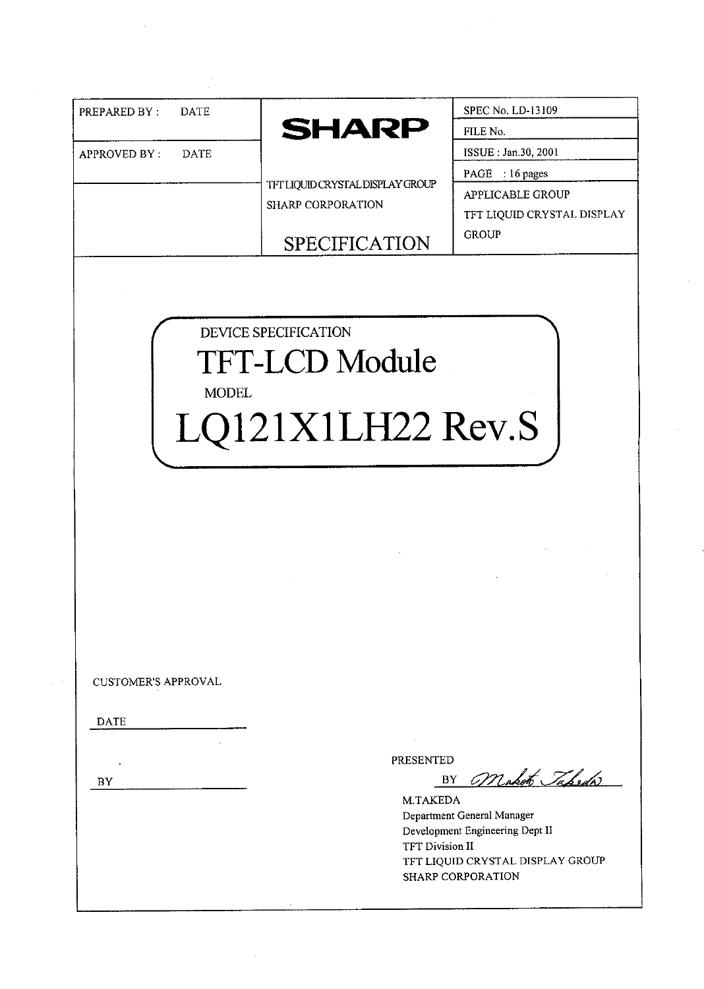| <b>SHARP</b><br>FILE No.<br>ISSUE: Jan.30, 2001<br><b>APPROVED BY:</b><br><b>DATE</b><br>PAGE : 16 pages<br>TFT LIQUID CRYSTAL DISPLAY GROUP<br>APPLICABLE GROUP<br>SHARP CORPORATION<br><b>GROUP</b><br><b>SPECIFICATION</b><br>DEVICE SPECIFICATION<br><b>TFT-LCD Module</b><br><b>MODEL</b><br>LQ121X1LH22 Rev.S | PREPARED BY: | <b>DATE</b> | SPEC No. LD-13109          |
|---------------------------------------------------------------------------------------------------------------------------------------------------------------------------------------------------------------------------------------------------------------------------------------------------------------------|--------------|-------------|----------------------------|
|                                                                                                                                                                                                                                                                                                                     |              |             |                            |
|                                                                                                                                                                                                                                                                                                                     |              |             |                            |
|                                                                                                                                                                                                                                                                                                                     |              |             |                            |
|                                                                                                                                                                                                                                                                                                                     |              |             |                            |
|                                                                                                                                                                                                                                                                                                                     |              |             | TFT LIQUID CRYSTAL DISPLAY |
|                                                                                                                                                                                                                                                                                                                     |              |             |                            |
|                                                                                                                                                                                                                                                                                                                     |              |             |                            |
|                                                                                                                                                                                                                                                                                                                     |              |             |                            |
|                                                                                                                                                                                                                                                                                                                     |              |             |                            |
|                                                                                                                                                                                                                                                                                                                     |              |             |                            |
| <b>CUSTOMER'S APPROVAL</b>                                                                                                                                                                                                                                                                                          |              |             |                            |
| <b>DATE</b>                                                                                                                                                                                                                                                                                                         |              |             |                            |
|                                                                                                                                                                                                                                                                                                                     |              |             |                            |
| PRESENTED<br>$\epsilon$                                                                                                                                                                                                                                                                                             |              |             |                            |
| BY Maket Tabedw<br>BY                                                                                                                                                                                                                                                                                               |              |             |                            |
| M.TAKEDA<br>Department General Manager                                                                                                                                                                                                                                                                              |              |             |                            |
| Development Engineering Dept II                                                                                                                                                                                                                                                                                     |              |             |                            |
| TFT Division II<br>TFT LIQUID CRYSTAL DISPLAY GROUP                                                                                                                                                                                                                                                                 |              |             |                            |

 $\label{eq:2} \frac{1}{\sqrt{2}}\int_{\mathbb{R}^3} \frac{1}{\sqrt{2}}\,d\mu\,d\mu\,.$ 

 $\frac{1}{2}$ 

 $\sim$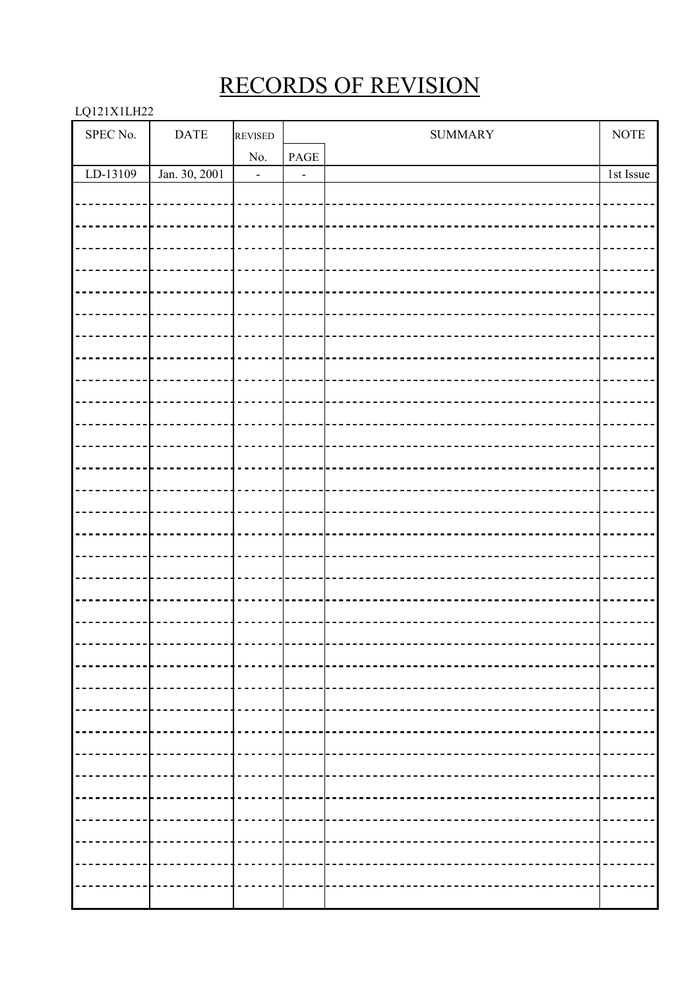# RECORDS OF REVISION

# LQ121X1LH22

| SPEC No. | $\mathbf{DATE}$ | <b>REVISED</b>           |      | <b>SUMMARY</b>                       | <b>NOTE</b> |
|----------|-----------------|--------------------------|------|--------------------------------------|-------------|
|          |                 | No.                      | PAGE |                                      |             |
| LD-13109 | Jan. 30, 2001   | $\overline{\phantom{0}}$ |      |                                      | 1st Issue   |
|          |                 |                          |      |                                      |             |
|          |                 |                          |      |                                      |             |
|          |                 |                          |      |                                      |             |
|          |                 |                          |      |                                      |             |
|          |                 |                          |      |                                      |             |
|          |                 |                          |      |                                      |             |
|          |                 |                          |      |                                      |             |
|          |                 |                          |      |                                      |             |
|          |                 |                          |      |                                      |             |
|          |                 |                          |      |                                      |             |
|          |                 |                          |      |                                      |             |
|          |                 |                          |      |                                      |             |
|          |                 |                          |      |                                      |             |
|          |                 |                          |      |                                      |             |
|          |                 |                          |      |                                      |             |
|          |                 |                          |      |                                      |             |
|          |                 |                          |      |                                      |             |
|          |                 |                          |      |                                      |             |
|          |                 |                          |      |                                      |             |
|          |                 |                          |      |                                      |             |
|          |                 |                          |      |                                      |             |
|          |                 |                          |      |                                      |             |
|          |                 |                          |      |                                      |             |
|          |                 |                          |      |                                      |             |
|          |                 |                          |      |                                      |             |
|          |                 |                          |      |                                      |             |
|          |                 |                          |      |                                      |             |
|          |                 |                          |      | ------------------------------------ |             |
|          |                 |                          |      |                                      |             |
|          |                 |                          |      |                                      |             |
|          |                 |                          |      |                                      |             |
|          |                 |                          |      |                                      |             |
|          |                 |                          |      |                                      |             |
|          |                 |                          |      |                                      |             |
|          |                 |                          |      |                                      |             |
|          |                 |                          |      |                                      |             |
|          |                 |                          |      |                                      |             |
|          |                 |                          |      |                                      |             |
|          |                 |                          |      |                                      |             |
|          |                 |                          |      |                                      |             |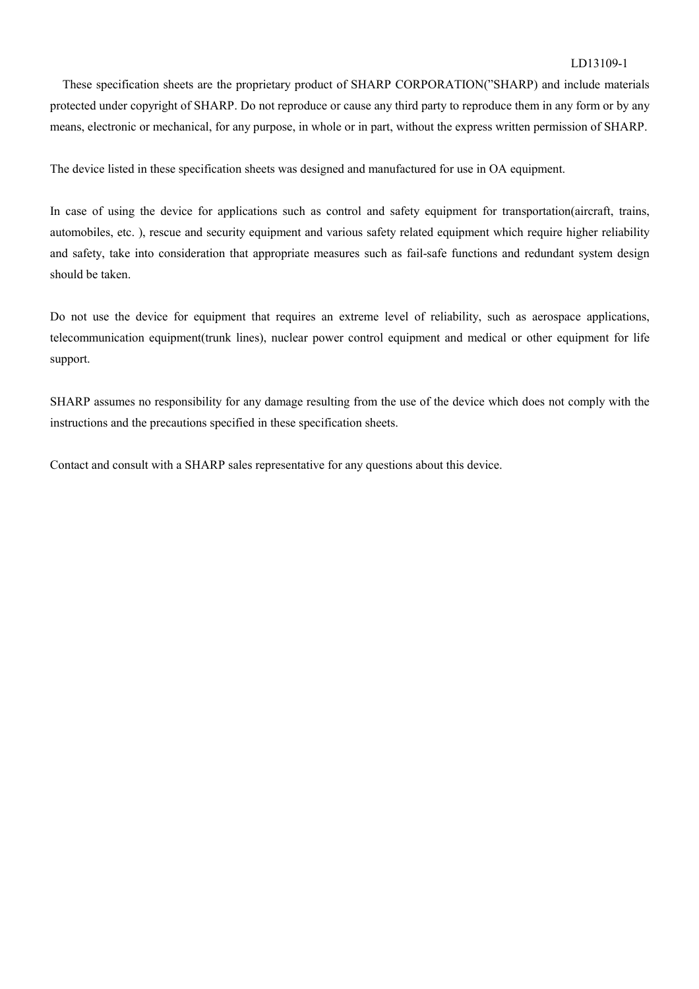#### LD13109-1

These specification sheets are the proprietary product of SHARP CORPORATION("SHARP) and include materials protected under copyright of SHARP. Do not reproduce or cause any third party to reproduce them in any form or by any means, electronic or mechanical, for any purpose, in whole or in part, without the express written permission of SHARP.

The device listed in these specification sheets was designed and manufactured for use in OA equipment.

In case of using the device for applications such as control and safety equipment for transportation(aircraft, trains, automobiles, etc. ), rescue and security equipment and various safety related equipment which require higher reliability and safety, take into consideration that appropriate measures such as fail-safe functions and redundant system design should be taken.

Do not use the device for equipment that requires an extreme level of reliability, such as aerospace applications, telecommunication equipment(trunk lines), nuclear power control equipment and medical or other equipment for life support.

SHARP assumes no responsibility for any damage resulting from the use of the device which does not comply with the instructions and the precautions specified in these specification sheets.

Contact and consult with a SHARP sales representative for any questions about this device.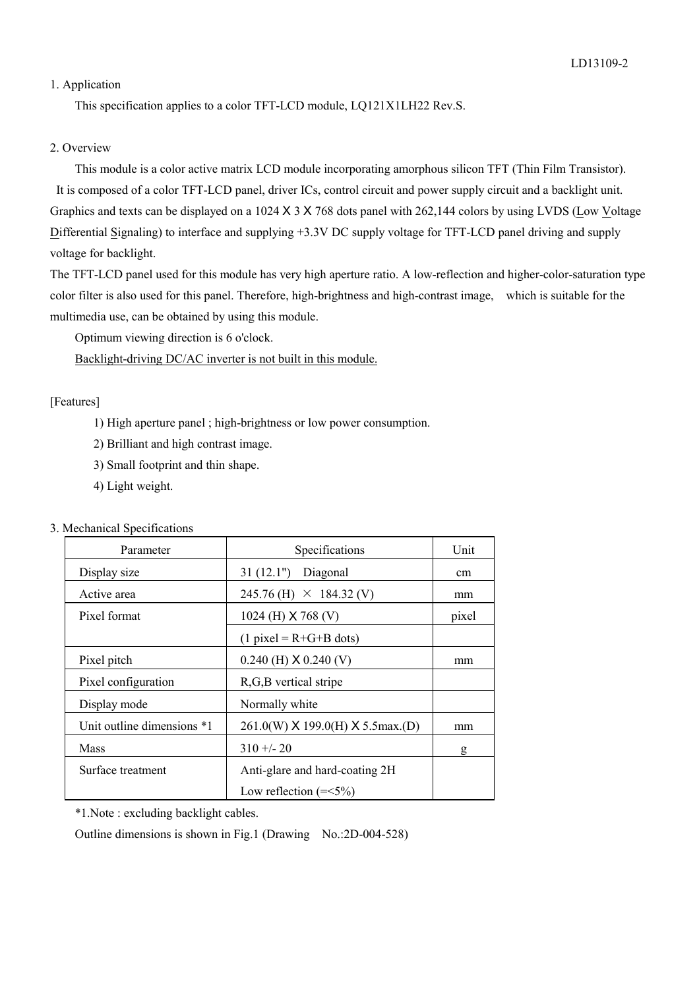# 1. Application

This specification applies to a color TFT-LCD module, LQ121X1LH22 Rev.S.

# 2. Overview

 This module is a color active matrix LCD module incorporating amorphous silicon TFT (Thin Film Transistor). It is composed of a color TFT-LCD panel, driver ICs, control circuit and power supply circuit and a backlight unit. Graphics and texts can be displayed on a 1024 X 3 X 768 dots panel with 262,144 colors by using LVDS (Low Voltage Differential Signaling) to interface and supplying +3.3V DC supply voltage for TFT-LCD panel driving and supply voltage for backlight.

The TFT-LCD panel used for this module has very high aperture ratio. A low-reflection and higher-color-saturation type color filter is also used for this panel. Therefore, high-brightness and high-contrast image, which is suitable for the multimedia use, can be obtained by using this module.

Optimum viewing direction is 6 o'clock.

Backlight-driving DC/AC inverter is not built in this module.

# [Features]

- 1) High aperture panel ; high-brightness or low power consumption.
- 2) Brilliant and high contrast image.
- 3) Small footprint and thin shape.
- 4) Light weight.

|  |  | 3. Mechanical Specifications |
|--|--|------------------------------|
|--|--|------------------------------|

| Parameter                    | Specifications                   | Unit  |
|------------------------------|----------------------------------|-------|
| Display size                 | 31(12.1")<br>Diagonal            | cm    |
| Active area                  | $245.76$ (H) $\times$ 184.32 (V) | mm    |
| Pixel format                 | 1024 (H) $X$ 768 (V)             | pixel |
|                              | $(1$ pixel = R+G+B dots)         |       |
| Pixel pitch                  | $0.240$ (H) $X$ 0.240 (V)        | mm    |
| Pixel configuration          | R, G, B vertical stripe          |       |
| Display mode                 | Normally white                   |       |
| Unit outline dimensions $*1$ | 261.0(W) X 199.0(H) X 5.5max.(D) | mm    |
| <b>Mass</b>                  | $310 + 20$                       | g     |
| Surface treatment            | Anti-glare and hard-coating 2H   |       |
|                              | Low reflection $(=\lt; 5\%)$     |       |

\*1.Note : excluding backlight cables.

Outline dimensions is shown in Fig.1 (Drawing No.:2D-004-528)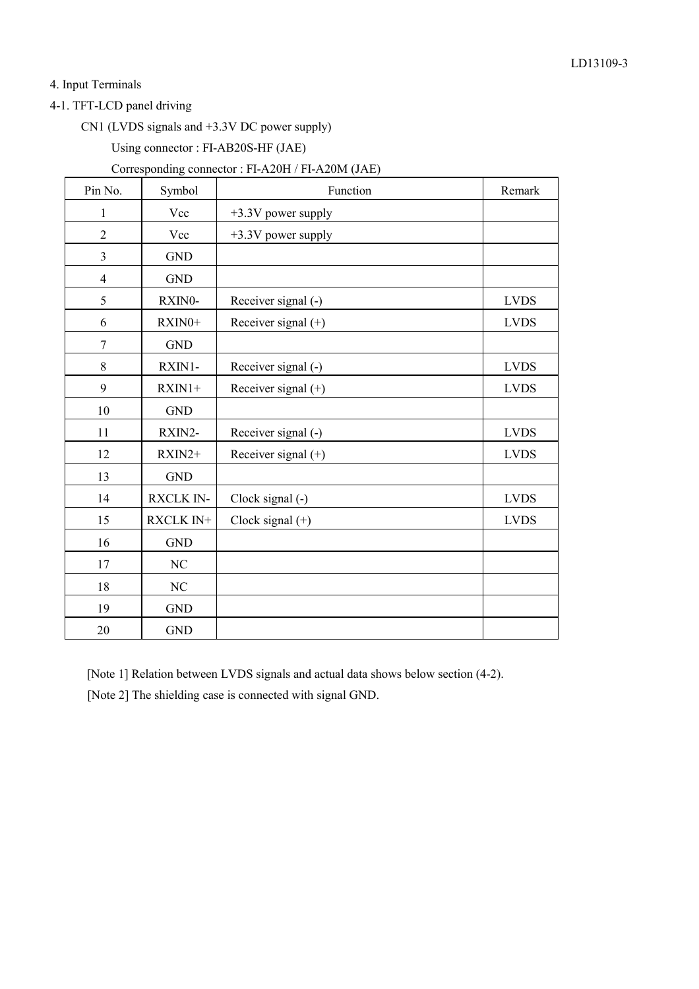4. Input Terminals

4-1. TFT-LCD panel driving

CN1 (LVDS signals and +3.3V DC power supply)

Using connector : FI-AB20S-HF (JAE)

# Corresponding connector : FI-A20H / FI-A20M (JAE)

| Pin No.        | Symbol           | Function              | Remark      |
|----------------|------------------|-----------------------|-------------|
| 1              | Vcc              | +3.3V power supply    |             |
| $\sqrt{2}$     | Vcc              | +3.3V power supply    |             |
| $\overline{3}$ | <b>GND</b>       |                       |             |
| $\overline{4}$ | <b>GND</b>       |                       |             |
| 5              | RXIN0-           | Receiver signal (-)   | <b>LVDS</b> |
| 6              | RXIN0+           | Receiver signal (+)   | <b>LVDS</b> |
| $\tau$         | <b>GND</b>       |                       |             |
| 8              | RXIN1-           | Receiver signal (-)   | <b>LVDS</b> |
| 9              | $RXIN1+$         | Receiver signal (+)   | <b>LVDS</b> |
| 10             | <b>GND</b>       |                       |             |
| 11             | RXIN2-           | Receiver signal (-)   | <b>LVDS</b> |
| 12             | RXIN2+           | Receiver signal $(+)$ | <b>LVDS</b> |
| 13             | <b>GND</b>       |                       |             |
| 14             | <b>RXCLK IN-</b> | Clock signal (-)      | <b>LVDS</b> |
| 15             | RXCLK IN+        | Clock signal $(+)$    | <b>LVDS</b> |
| 16             | <b>GND</b>       |                       |             |
| 17             | NC               |                       |             |
| 18             | NC               |                       |             |
| 19             | <b>GND</b>       |                       |             |
| 20             | <b>GND</b>       |                       |             |

[Note 1] Relation between LVDS signals and actual data shows below section (4-2). [Note 2] The shielding case is connected with signal GND.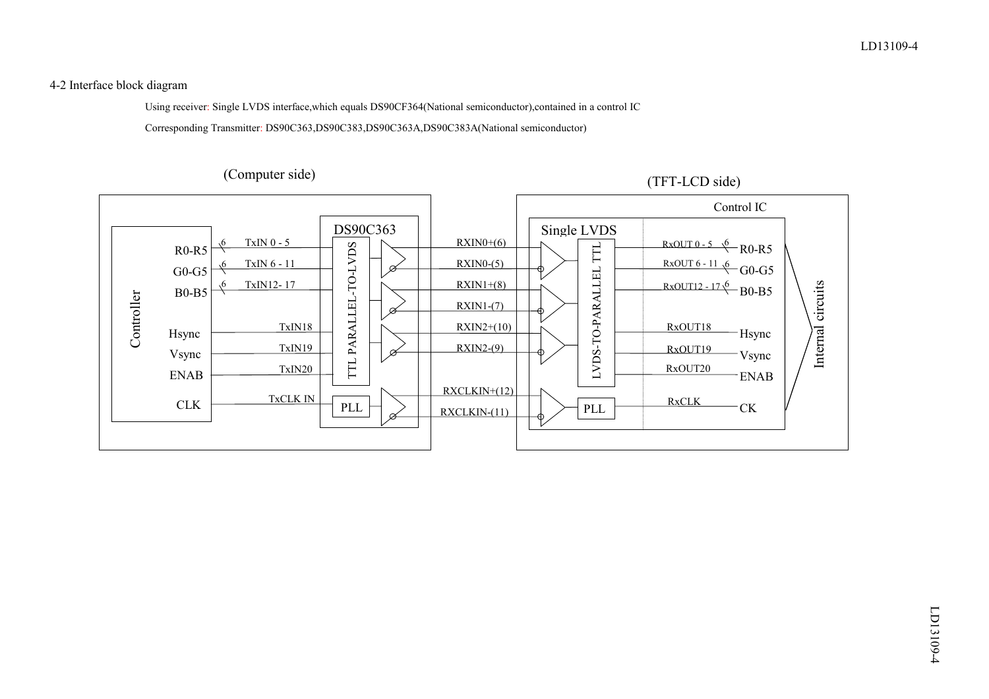4-2 Interface block diagram

Using receiver: Single LVDS interface,which equals DS90CF364(National semiconductor),contained in a control IC

Corresponding Transmitter: DS90C363,DS90C383,DS90C363A,DS90C383A(National semiconductor)

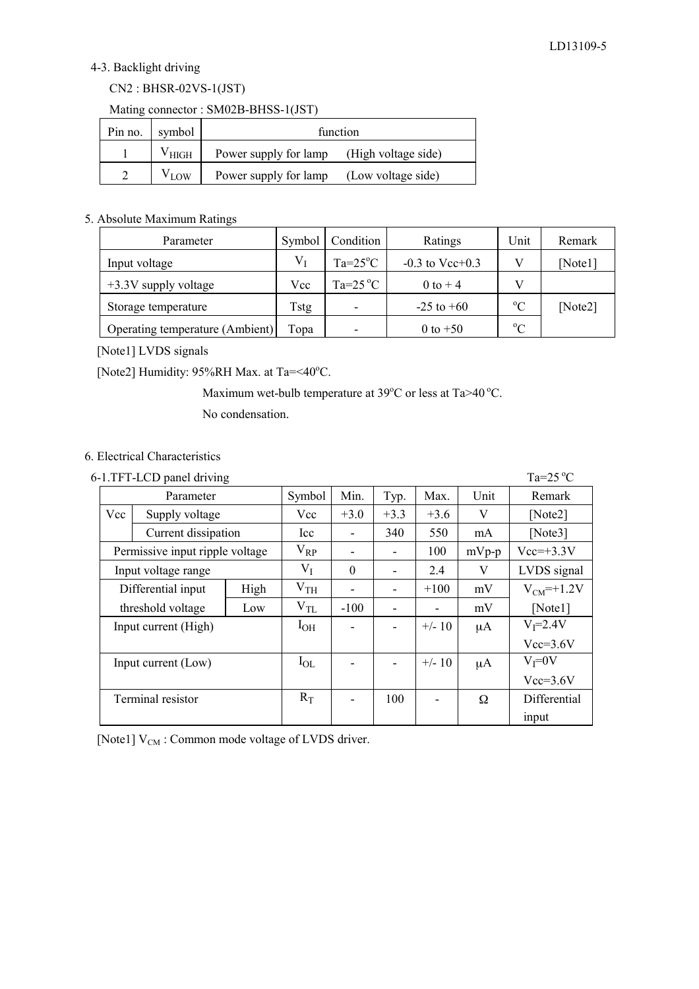# 4-3. Backlight driving

# CN2 : BHSR-02VS-1(JST)

Mating connector : SM02B-BHSS-1(JST)

| Pin no.   symbol |                | function                                     |                    |  |  |  |  |
|------------------|----------------|----------------------------------------------|--------------------|--|--|--|--|
|                  | $\rm V_{HIGH}$ | Power supply for lamp<br>(High voltage side) |                    |  |  |  |  |
|                  | $V_{LOW}$      | Power supply for lamp                        | (Low voltage side) |  |  |  |  |

#### 5. Absolute Maximum Ratings

| Parameter                       | Symbol | Condition                | Ratings           | Unit        | Remark  |
|---------------------------------|--------|--------------------------|-------------------|-------------|---------|
| Input voltage                   | V1     | $Ta=25^{\circ}C$         | $-0.3$ to Vcc+0.3 |             | [Note1] |
| $+3.3V$ supply voltage          | Vcc    | Ta= $25^{\circ}$ C       | 0 to $+4$         |             |         |
| Storage temperature             | Tstg   | $\overline{\phantom{0}}$ | $-25$ to $+60$    | $\rm ^{o}C$ | [Note2] |
| Operating temperature (Ambient) | Topa   | -                        | 0 to $+50$        | $\rm ^{o}C$ |         |

[Note1] LVDS signals

[Note2] Humidity:  $95\%RH$  Max. at Ta=<40°C.

Maximum wet-bulb temperature at  $39^{\circ}$ C or less at Ta $>40^{\circ}$ C.

No condensation.

# 6. Electrical Characteristics

| 6-1.TFT-LCD panel driving<br>Ta= $25^{\circ}$ C |                     |          |              |                |          |          |             |                 |
|-------------------------------------------------|---------------------|----------|--------------|----------------|----------|----------|-------------|-----------------|
|                                                 | Parameter           |          | Symbol       | Min.           | Typ.     | Max.     | Unit        | Remark          |
| Vcc                                             | Supply voltage      |          | Vcc          | $+3.0$         | $+3.3$   | $+3.6$   | V           | [Note2]         |
|                                                 | Current dissipation |          | <b>Icc</b>   |                | 340      | 550      | mA          | [Note3]         |
| Permissive input ripple voltage                 |                     | $V_{RP}$ |              |                | 100      | $mVp-p$  | $Vec=+3.3V$ |                 |
| Input voltage range                             |                     | $V_I$    | $\Omega$     | $\blacksquare$ | 2.4      | V        | LVDS signal |                 |
|                                                 | Differential input  | High     | $\rm V_{TH}$ | $\blacksquare$ | ۰        | $+100$   | mV          | $V_{CM}$ =+1.2V |
| threshold voltage<br>Low                        |                     | $V_{TL}$ | $-100$       | $\blacksquare$ |          | mV       | [Note1]     |                 |
| Input current (High)                            |                     | $I_{OH}$ |              | ٠              | $+/- 10$ | μA       | $V = 2.4V$  |                 |
|                                                 |                     |          |              |                |          |          |             | $Vcc=3.6V$      |
|                                                 | Input current (Low) |          | $I_{OL}$     |                |          | $+/- 10$ | μA          | $V_I = 0V$      |
|                                                 |                     |          |              |                |          |          |             | $Vcc=3.6V$      |
|                                                 | Terminal resistor   |          | $R_T$        |                | 100      |          | Ω           | Differential    |
|                                                 |                     |          |              |                |          |          |             | input           |

[Note1]  $V_{CM}$  : Common mode voltage of LVDS driver.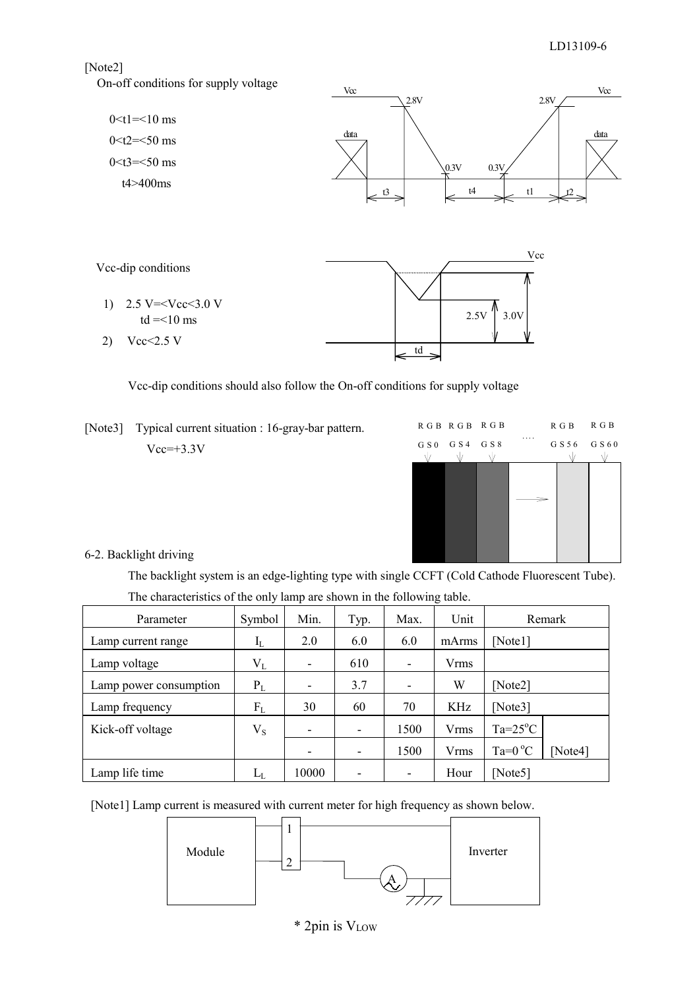# [Note2]

On-off conditions for supply voltage



Vcc-dip conditions should also follow the On-off conditions for supply voltage

[Note3] Typical current situation : 16-gray-bar pattern.  $Vcc=+3.3V$ 



6-2. Backlight driving

 The backlight system is an edge-lighting type with single CCFT (Cold Cathode Fluorescent Tube). The characteristics of the only lamp are shown in the following table.

| Parameter              | Symbol      | Min.  | Typ. | Max.                     | Unit        | Remark            |         |
|------------------------|-------------|-------|------|--------------------------|-------------|-------------------|---------|
| Lamp current range     | $I_{L}$     | 2.0   | 6.0  | 6.0                      | mArms       | [Note $1$ ]       |         |
| Lamp voltage           | $\rm V_L$   | -     | 610  | $\overline{\phantom{a}}$ | <b>Vrms</b> |                   |         |
| Lamp power consumption | $P_L$       | -     | 3.7  | $\overline{\phantom{a}}$ | W           | [Note2]           |         |
| Lamp frequency         | $F_{L}$     | 30    | 60   | 70                       | KHz         | [Note3]           |         |
| Kick-off voltage       | $V_{S}$     | -     | ۰    | 1500                     | <b>Vrms</b> | $Ta=25^{\circ}C$  |         |
|                        |             | -     | ۰    | 1500                     | <b>Vrms</b> | Ta= $0^{\circ}$ C | [Note4] |
| Lamp life time         | $L_{\rm L}$ | 10000 |      | ٠                        | Hour        | [Note5]           |         |

[Note1] Lamp current is measured with current meter for high frequency as shown below.

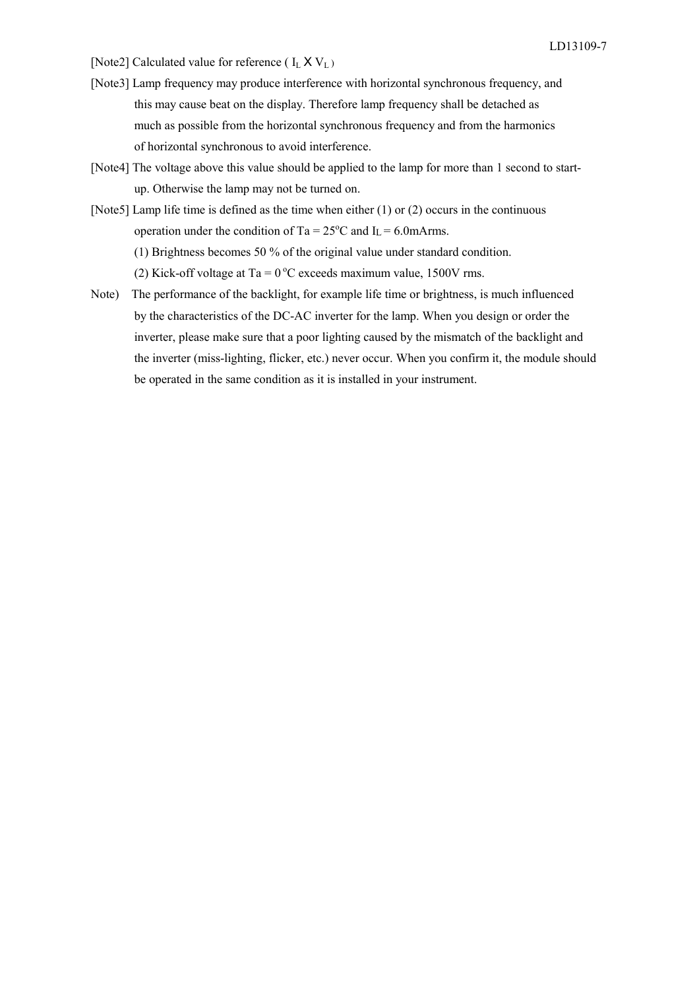- [Note2] Calculated value for reference ( $I_L$   $X$   $V_L$ )
- [Note3] Lamp frequency may produce interference with horizontal synchronous frequency, and this may cause beat on the display. Therefore lamp frequency shall be detached as much as possible from the horizontal synchronous frequency and from the harmonics of horizontal synchronous to avoid interference.
- [Note4] The voltage above this value should be applied to the lamp for more than 1 second to startup. Otherwise the lamp may not be turned on.
- [Note5] Lamp life time is defined as the time when either (1) or (2) occurs in the continuous operation under the condition of Ta =  $25^{\circ}$ C and I<sub>L</sub> = 6.0mArms.

(1) Brightness becomes 50 % of the original value under standard condition.

(2) Kick-off voltage at Ta =  $0^{\circ}$ C exceeds maximum value, 1500V rms.

 Note) The performance of the backlight, for example life time or brightness, is much influenced by the characteristics of the DC-AC inverter for the lamp. When you design or order the inverter, please make sure that a poor lighting caused by the mismatch of the backlight and the inverter (miss-lighting, flicker, etc.) never occur. When you confirm it, the module should be operated in the same condition as it is installed in your instrument.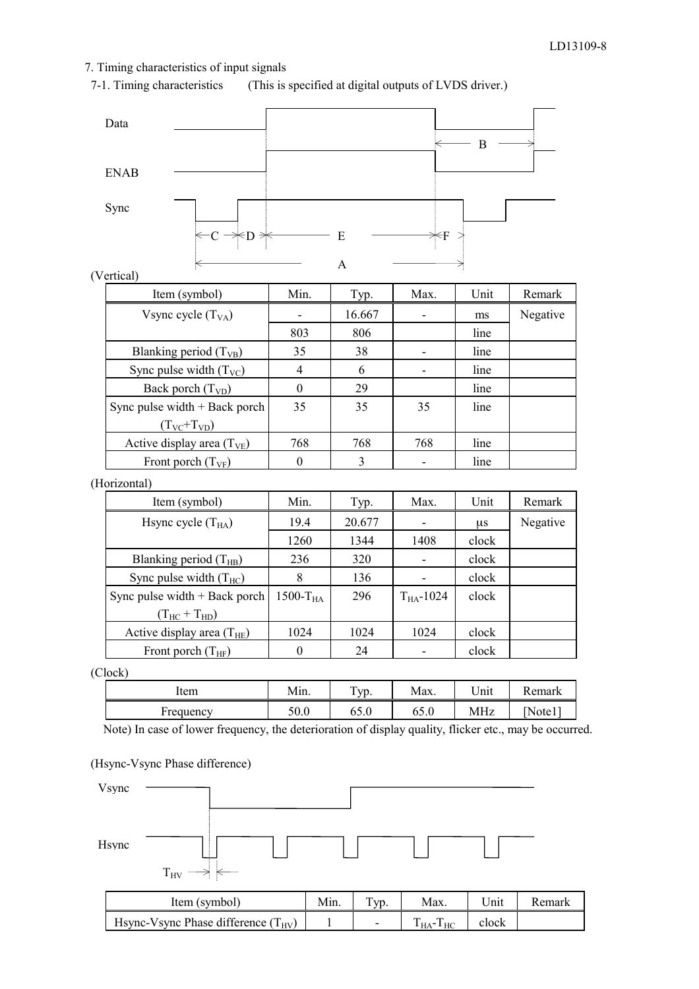# 7. Timing characteristics of input signals

7-1. Timing characteristics (This is specified at digital outputs of LVDS driver.)



(Vertical)

| Item (symbol)                   | Min.     | Typ.   | Max. | Unit | Remark   |
|---------------------------------|----------|--------|------|------|----------|
| Vsync cycle $(T_{VA})$          |          | 16.667 |      | ms   | Negative |
|                                 | 803      | 806    |      | line |          |
| Blanking period $(T_{VB})$      | 35       | 38     |      | line |          |
| Sync pulse width $(T_{VC})$     | 4        | 6      |      | line |          |
| Back porch $(T_{VD})$           | $\Omega$ | 29     |      | line |          |
| Sync pulse width $+$ Back porch | 35       | 35     | 35   | line |          |
| $(T_{\rm VC}$ + $T_{\rm VD})$   |          |        |      |      |          |
| Active display area $(T_{VE})$  | 768      | 768    | 768  | line |          |
| Front porch $(T_{VF})$          | $\theta$ | 3      |      | line |          |

# (Horizontal)

| Item (symbol)                         | Min.       | Typ.   | Max.           | Unit  | Remark   |
|---------------------------------------|------------|--------|----------------|-------|----------|
| Hsync cycle $(T_{HA})$                | 19.4       | 20.677 |                | μs    | Negative |
|                                       | 1260       | 1344   | 1408           | clock |          |
| Blanking period $(T_{HB})$            | 236        | 320    |                | clock |          |
| Sync pulse width $(T_{HC})$           | 8          | 136    |                | clock |          |
| Sync pulse width $+$ Back porch       | $1500-THA$ | 296    | $T_{HA}$ -1024 | clock |          |
| $(T_{\text{HC}} + T_{\text{HD}})$     |            |        |                |       |          |
| Active display area $(T_{\text{HE}})$ | 1024       | 1024   | 1024           | clock |          |
| Front porch $(T_{HF})$                |            | 24     |                | clock |          |

(Clock)

| Item             | .<br>Mın.                              | <u>та с</u><br>VD.<br>. . | Max.                   | $\mathbf{r}$<br>∪nıt | n<br>'.emark |
|------------------|----------------------------------------|---------------------------|------------------------|----------------------|--------------|
| <b>Frequency</b> | $\mathcal{L} \cap \mathcal{L}$<br>JU.U | -<br>v. v                 | $\overline{ }$<br>0.CO | MHz                  | ∣ote l       |

Note) In case of lower frequency, the deterioration of display quality, flicker etc., may be occurred.

#### (Hsync-Vsync Phase difference)

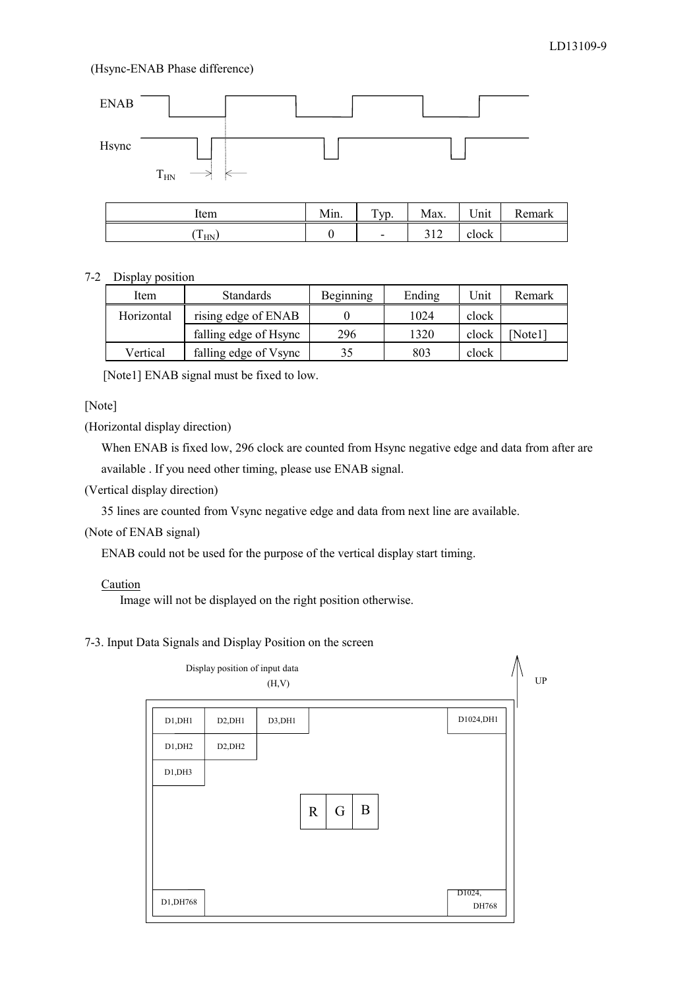#### (Hsync-ENAB Phase difference)



#### 7-2 Display position

| Item       | <b>Standards</b>      | <b>Beginning</b> | Ending | Unit  | Remark |
|------------|-----------------------|------------------|--------|-------|--------|
| Horizontal | rising edge of ENAB   |                  | 1024   | clock |        |
|            | falling edge of Hsync | 296              | 1320   | clock | Note11 |
| Vertical   | falling edge of Vsync | 35               | 803    | clock |        |

[Note1] ENAB signal must be fixed to low.

# [Note]

(Horizontal display direction)

When ENAB is fixed low, 296 clock are counted from Hsync negative edge and data from after are available . If you need other timing, please use ENAB signal.

(Vertical display direction)

35 lines are counted from Vsync negative edge and data from next line are available.

#### (Note of ENAB signal)

ENAB could not be used for the purpose of the vertical display start timing.

#### **Caution**

Image will not be displayed on the right position otherwise.

# 7-3. Input Data Signals and Display Position on the screen

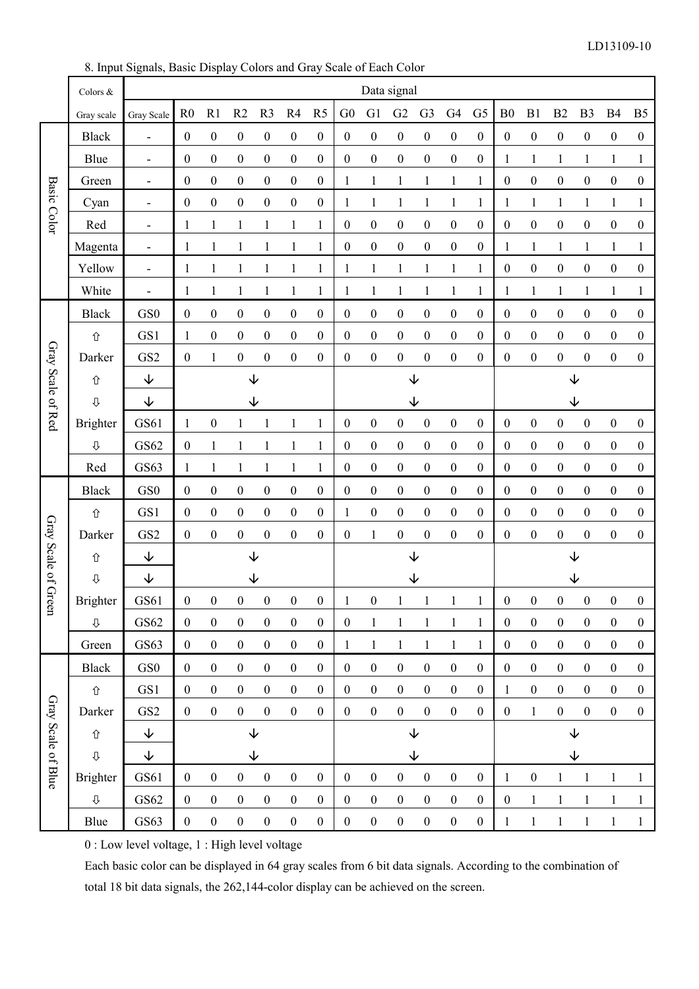8. Input Signals, Basic Display Colors and Gray Scale of Each Color

|                     | Colors &         |                          | Data signal      |                  |                  |                     |                  |                  |                  |                  |                  |                  |                         |                  |                  |                  |                             |                  |                  |                  |
|---------------------|------------------|--------------------------|------------------|------------------|------------------|---------------------|------------------|------------------|------------------|------------------|------------------|------------------|-------------------------|------------------|------------------|------------------|-----------------------------|------------------|------------------|------------------|
|                     | Gray scale       | Gray Scale               | R <sub>0</sub>   | R1               | R2               | R <sub>3</sub>      | R4               | R <sub>5</sub>   | G <sub>0</sub>   | G1               | G2               | G <sub>3</sub>   | G <sub>4</sub>          | G <sub>5</sub>   | B <sub>0</sub>   | B1               | B2                          | B <sub>3</sub>   | <b>B4</b>        | B <sub>5</sub>   |
|                     | <b>Black</b>     | $\overline{\phantom{a}}$ | $\boldsymbol{0}$ | $\boldsymbol{0}$ | $\boldsymbol{0}$ | $\boldsymbol{0}$    | $\boldsymbol{0}$ | $\boldsymbol{0}$ | $\boldsymbol{0}$ | $\boldsymbol{0}$ | $\boldsymbol{0}$ | $\boldsymbol{0}$ | $\boldsymbol{0}$        | $\boldsymbol{0}$ | $\boldsymbol{0}$ | $\boldsymbol{0}$ | $\boldsymbol{0}$            | $\boldsymbol{0}$ | $\boldsymbol{0}$ | $\boldsymbol{0}$ |
|                     | Blue             | $\overline{\phantom{a}}$ | $\boldsymbol{0}$ | $\boldsymbol{0}$ | $\boldsymbol{0}$ | $\boldsymbol{0}$    | $\boldsymbol{0}$ | $\boldsymbol{0}$ | $\boldsymbol{0}$ | $\boldsymbol{0}$ | $\boldsymbol{0}$ | $\boldsymbol{0}$ | $\boldsymbol{0}$        | $\boldsymbol{0}$ | $\mathbf{1}$     | $\mathbf{1}$     | $\mathbf{1}$                | $\mathbf{1}$     | $\mathbf{1}$     | $\mathbf{1}$     |
|                     | Green            | $\overline{\phantom{a}}$ | $\boldsymbol{0}$ | $\boldsymbol{0}$ | $\boldsymbol{0}$ | $\boldsymbol{0}$    | $\boldsymbol{0}$ | $\boldsymbol{0}$ | 1                | $\mathbf{1}$     | $\mathbf{1}$     | $\mathbf{1}$     | $\mathbf 1$             | $\mathbf{1}$     | $\boldsymbol{0}$ | $\boldsymbol{0}$ | $\boldsymbol{0}$            | $\boldsymbol{0}$ | $\boldsymbol{0}$ | $\boldsymbol{0}$ |
| <b>Basic Color</b>  | Cyan             | $\overline{\phantom{a}}$ | $\boldsymbol{0}$ | $\boldsymbol{0}$ | $\boldsymbol{0}$ | $\boldsymbol{0}$    | $\boldsymbol{0}$ | $\boldsymbol{0}$ | $\mathbf{1}$     | $\mathbf{1}$     | $\mathbf{1}$     | $\mathbf{1}$     | $\mathbf{1}$            | $\mathbf{1}$     | $\mathbf{1}$     | $\mathbf{1}$     | $\mathbf{1}$                | $\mathbf{1}$     | $\mathbf{1}$     | $\mathbf{1}$     |
|                     | Red              | $\overline{\phantom{a}}$ | 1                | $\mathbf{1}$     | $\mathbf{1}$     | $\mathbf{1}$        | $\mathbf{1}$     | $\mathbf{1}$     | $\boldsymbol{0}$ | $\boldsymbol{0}$ | $\boldsymbol{0}$ | $\boldsymbol{0}$ | $\boldsymbol{0}$        | $\boldsymbol{0}$ | $\boldsymbol{0}$ | $\boldsymbol{0}$ | $\boldsymbol{0}$            | $\boldsymbol{0}$ | $\boldsymbol{0}$ | $\boldsymbol{0}$ |
|                     | Magenta          | $\overline{\phantom{a}}$ | 1                | $\mathbf{1}$     | $\mathbf{1}$     | $\mathbf{1}$        | $\mathbf{1}$     | $\mathbf{1}$     | $\boldsymbol{0}$ | $\boldsymbol{0}$ | $\boldsymbol{0}$ | $\boldsymbol{0}$ | $\boldsymbol{0}$        | $\boldsymbol{0}$ | $\mathbf{1}$     | $\mathbf{1}$     | $\mathbf{1}$                | $\mathbf{1}$     | 1                | $\mathbf{1}$     |
|                     | Yellow           | $\overline{\phantom{a}}$ | 1                | 1                | $\mathbf{1}$     | 1                   | 1                | 1                | $\mathbf{1}$     | $\mathbf{1}$     | $\mathbf{1}$     | $\mathbf{1}$     | $\mathbf{1}$            | $\mathbf{1}$     | $\boldsymbol{0}$ | $\boldsymbol{0}$ | $\boldsymbol{0}$            | $\boldsymbol{0}$ | $\boldsymbol{0}$ | $\boldsymbol{0}$ |
|                     | White            | $\overline{a}$           | 1                | $\mathbf{1}$     | $\mathbf{1}$     | $\mathbf{1}$        | $\mathbf{1}$     | $\mathbf{1}$     | $\mathbf{1}$     | $\mathbf{1}$     | $\mathbf{1}$     | $\mathbf{1}$     | $\mathbf 1$             | $\mathbf{1}$     | $\mathbf{1}$     | $\mathbf{1}$     | $\mathbf{1}$                | $\mathbf{1}$     | $\mathbf{1}$     | $\mathbf{1}$     |
|                     | <b>Black</b>     | GS <sub>0</sub>          | $\boldsymbol{0}$ | $\boldsymbol{0}$ | $\boldsymbol{0}$ | $\boldsymbol{0}$    | $\boldsymbol{0}$ | $\boldsymbol{0}$ | $\boldsymbol{0}$ | $\boldsymbol{0}$ | $\boldsymbol{0}$ | $\boldsymbol{0}$ | $\boldsymbol{0}$        | $\boldsymbol{0}$ | $\boldsymbol{0}$ | $\boldsymbol{0}$ | $\boldsymbol{0}$            | $\boldsymbol{0}$ | $\boldsymbol{0}$ | $\boldsymbol{0}$ |
|                     | ⇧                | GS1                      | $\mathbf{1}$     | $\boldsymbol{0}$ | $\boldsymbol{0}$ | $\boldsymbol{0}$    | $\boldsymbol{0}$ | $\boldsymbol{0}$ | $\boldsymbol{0}$ | $\boldsymbol{0}$ | $\boldsymbol{0}$ | $\boldsymbol{0}$ | $\boldsymbol{0}$        | $\boldsymbol{0}$ | $\boldsymbol{0}$ | $\boldsymbol{0}$ | $\boldsymbol{0}$            | $\boldsymbol{0}$ | $\boldsymbol{0}$ | $\boldsymbol{0}$ |
| Gray Scale of Red   | Darker           | GS <sub>2</sub>          | $\boldsymbol{0}$ | $\mathbf{1}$     | $\boldsymbol{0}$ | $\boldsymbol{0}$    | $\boldsymbol{0}$ | $\boldsymbol{0}$ | $\boldsymbol{0}$ | $\boldsymbol{0}$ | $\boldsymbol{0}$ | $\boldsymbol{0}$ | $\boldsymbol{0}$        | $\boldsymbol{0}$ | $\boldsymbol{0}$ | $\boldsymbol{0}$ | $\boldsymbol{0}$            | $\boldsymbol{0}$ | $\boldsymbol{0}$ | $\boldsymbol{0}$ |
|                     | 仚                | $\downarrow$             |                  |                  | $\downarrow$     |                     |                  |                  |                  |                  |                  | ↓                |                         |                  |                  |                  | $\downarrow$                |                  |                  |                  |
|                     | ⇩                | ↓                        |                  |                  | $\downarrow$     |                     |                  |                  |                  |                  |                  | ↓                |                         |                  |                  |                  |                             | ↓                |                  |                  |
|                     | <b>Brighter</b>  | GS61                     | 1                | $\boldsymbol{0}$ | 1                | 1                   | $\mathbf{1}$     | 1                | $\boldsymbol{0}$ | $\boldsymbol{0}$ | $\boldsymbol{0}$ | $\boldsymbol{0}$ | $\boldsymbol{0}$        | $\boldsymbol{0}$ | $\boldsymbol{0}$ | $\boldsymbol{0}$ | $\boldsymbol{0}$            | $\boldsymbol{0}$ | $\boldsymbol{0}$ | $\boldsymbol{0}$ |
|                     | $\rm{U}$         | GS62                     | $\boldsymbol{0}$ | $\mathbf{1}$     | $\mathbf{1}$     | $\mathbf{1}$        | $\mathbf{1}$     | $\mathbf{1}$     | $\boldsymbol{0}$ | $\boldsymbol{0}$ | $\boldsymbol{0}$ | $\boldsymbol{0}$ | $\boldsymbol{0}$        | $\boldsymbol{0}$ | $\boldsymbol{0}$ | $\boldsymbol{0}$ | $\boldsymbol{0}$            | $\boldsymbol{0}$ | $\boldsymbol{0}$ | $\boldsymbol{0}$ |
|                     | Red              | GS63                     | 1                | $\mathbf{1}$     | $\mathbf{1}$     | $\mathbf{1}$        | $\mathbf{1}$     | $\mathbf{1}$     | $\boldsymbol{0}$ | $\boldsymbol{0}$ | $\boldsymbol{0}$ | $\boldsymbol{0}$ | $\boldsymbol{0}$        | $\boldsymbol{0}$ | $\boldsymbol{0}$ | $\boldsymbol{0}$ | $\boldsymbol{0}$            | $\boldsymbol{0}$ | $\boldsymbol{0}$ | $\boldsymbol{0}$ |
|                     | <b>Black</b>     | GS <sub>0</sub>          | $\boldsymbol{0}$ | $\boldsymbol{0}$ | $\boldsymbol{0}$ | $\boldsymbol{0}$    | $\boldsymbol{0}$ | $\boldsymbol{0}$ | $\boldsymbol{0}$ | $\boldsymbol{0}$ | $\boldsymbol{0}$ | $\boldsymbol{0}$ | $\boldsymbol{0}$        | $\boldsymbol{0}$ | $\boldsymbol{0}$ | $\boldsymbol{0}$ | $\boldsymbol{0}$            | $\boldsymbol{0}$ | $\boldsymbol{0}$ | $\boldsymbol{0}$ |
|                     | ⇧                | GS1                      | $\boldsymbol{0}$ | $\boldsymbol{0}$ | $\boldsymbol{0}$ | $\boldsymbol{0}$    | $\boldsymbol{0}$ | $\boldsymbol{0}$ | $\mathbf{1}$     | $\boldsymbol{0}$ | $\boldsymbol{0}$ | $\boldsymbol{0}$ | $\boldsymbol{0}$        | $\boldsymbol{0}$ | $\boldsymbol{0}$ | $\boldsymbol{0}$ | $\boldsymbol{0}$            | $\boldsymbol{0}$ | $\boldsymbol{0}$ | $\boldsymbol{0}$ |
|                     | Darker           | GS <sub>2</sub>          | $\boldsymbol{0}$ | $\boldsymbol{0}$ | $\boldsymbol{0}$ | $\boldsymbol{0}$    | $\boldsymbol{0}$ | $\boldsymbol{0}$ | $\boldsymbol{0}$ | $\mathbf{1}$     | $\boldsymbol{0}$ | $\boldsymbol{0}$ | $\boldsymbol{0}$        | $\boldsymbol{0}$ | $\boldsymbol{0}$ | $\boldsymbol{0}$ | $\boldsymbol{0}$            | $\boldsymbol{0}$ | $\boldsymbol{0}$ | $\boldsymbol{0}$ |
|                     | ⇧                | $\downarrow$             |                  |                  | ↓                |                     |                  |                  |                  |                  |                  | ↓                |                         |                  |                  |                  | ↓                           |                  |                  |                  |
| Gray Scale of Green | ⇩                | ↓                        |                  |                  | $\downarrow$     |                     |                  |                  |                  |                  |                  | ↓                |                         |                  |                  |                  | ↓                           |                  |                  |                  |
|                     | Brighter         | GS61                     | $\overline{0}$   | $\mathbf{0}$     |                  | $0\qquad 0\qquad 0$ |                  | $\mathbf{0}$     |                  |                  |                  |                  | $1 \t 0 \t 1 \t 1 \t 1$ | $\mathbf{1}$     |                  |                  | $0 \quad 0 \quad 0 \quad 0$ |                  | $\mathbf{0}$     | $\theta$         |
|                     | ⇩                | GS62                     | $\boldsymbol{0}$ | $\boldsymbol{0}$ | $\boldsymbol{0}$ | $\boldsymbol{0}$    | $\boldsymbol{0}$ | $\boldsymbol{0}$ | $\boldsymbol{0}$ | $\mathbf{1}$     | 1                | $\mathbf{1}$     | $\mathbf{1}$            | $\mathbf{1}$     | $\boldsymbol{0}$ | $\boldsymbol{0}$ | $\boldsymbol{0}$            | $\boldsymbol{0}$ | $\boldsymbol{0}$ | $\boldsymbol{0}$ |
|                     | Green            | GS63                     | $\boldsymbol{0}$ | $\boldsymbol{0}$ | $\boldsymbol{0}$ | $\boldsymbol{0}$    | $\boldsymbol{0}$ | $\boldsymbol{0}$ | $\mathbf{1}$     | $\mathbf{1}$     | $\mathbf{1}$     | $\mathbf{1}$     | $\mathbf{1}$            | $\mathbf{1}$     | $\boldsymbol{0}$ | $\boldsymbol{0}$ | $\boldsymbol{0}$            | $\boldsymbol{0}$ | $\boldsymbol{0}$ | $\boldsymbol{0}$ |
|                     | <b>Black</b>     | GS0                      | $\boldsymbol{0}$ | $\boldsymbol{0}$ | $\boldsymbol{0}$ | $\boldsymbol{0}$    | $\boldsymbol{0}$ | $\boldsymbol{0}$ | $\boldsymbol{0}$ | $\boldsymbol{0}$ | $\boldsymbol{0}$ | $\boldsymbol{0}$ | $\boldsymbol{0}$        | $\boldsymbol{0}$ | $\boldsymbol{0}$ | $\boldsymbol{0}$ | $\boldsymbol{0}$            | $\boldsymbol{0}$ | $\boldsymbol{0}$ | $\boldsymbol{0}$ |
|                     | ⇧                | GS1                      | $\boldsymbol{0}$ | $\boldsymbol{0}$ | $\boldsymbol{0}$ | $\boldsymbol{0}$    | $\boldsymbol{0}$ | $\boldsymbol{0}$ | $\boldsymbol{0}$ | $\boldsymbol{0}$ | $\boldsymbol{0}$ | $\boldsymbol{0}$ | $\boldsymbol{0}$        | $\boldsymbol{0}$ | $\mathbf{1}$     | $\boldsymbol{0}$ | $\boldsymbol{0}$            | $\boldsymbol{0}$ | $\boldsymbol{0}$ | $\boldsymbol{0}$ |
|                     | Darker           | GS <sub>2</sub>          | $\boldsymbol{0}$ | $\boldsymbol{0}$ | $\boldsymbol{0}$ | $\boldsymbol{0}$    | $\boldsymbol{0}$ | $\boldsymbol{0}$ | $\boldsymbol{0}$ | $\boldsymbol{0}$ | $\boldsymbol{0}$ | $\boldsymbol{0}$ | $\boldsymbol{0}$        | $\boldsymbol{0}$ | $\boldsymbol{0}$ | $\mathbf{1}$     | $\boldsymbol{0}$            | $\boldsymbol{0}$ | $\boldsymbol{0}$ | $\overline{0}$   |
|                     | 仚                | $\downarrow$             |                  |                  | $\downarrow$     |                     |                  |                  |                  |                  |                  | ↓                |                         |                  |                  |                  | $\downarrow$                |                  |                  |                  |
|                     | $\hat{\Upsilon}$ | $\downarrow$             |                  |                  | ↓                |                     |                  |                  |                  |                  |                  | ↓                |                         |                  |                  |                  | ↓                           |                  |                  |                  |
| Gray Scale of Blue  | <b>Brighter</b>  | GS61                     | $\boldsymbol{0}$ | $\boldsymbol{0}$ | $\boldsymbol{0}$ | $\boldsymbol{0}$    | $\boldsymbol{0}$ | $\boldsymbol{0}$ | $\boldsymbol{0}$ | $\boldsymbol{0}$ | $\boldsymbol{0}$ | $\boldsymbol{0}$ | $\boldsymbol{0}$        | $\boldsymbol{0}$ | 1                | $\boldsymbol{0}$ | $\mathbf{1}$                | $\mathbf{1}$     | 1                | $\mathbf{1}$     |
|                     | $\rm \Phi$       | GS62                     | $\boldsymbol{0}$ | $\boldsymbol{0}$ | $\boldsymbol{0}$ | $\boldsymbol{0}$    | $\boldsymbol{0}$ | $\boldsymbol{0}$ | $\boldsymbol{0}$ | $\boldsymbol{0}$ | $\boldsymbol{0}$ | $\boldsymbol{0}$ | $\boldsymbol{0}$        | $\boldsymbol{0}$ | $\boldsymbol{0}$ | $\mathbf{1}$     | $\mathbf{1}$                | $\mathbf{1}$     | $\mathbf{1}$     | $\mathbf{1}$     |
|                     | Blue             | GS63                     | $\boldsymbol{0}$ | $\boldsymbol{0}$ | $\boldsymbol{0}$ | $\boldsymbol{0}$    | $\boldsymbol{0}$ | $\boldsymbol{0}$ | $\boldsymbol{0}$ | $\boldsymbol{0}$ | $\boldsymbol{0}$ | $\boldsymbol{0}$ | $\boldsymbol{0}$        | $\boldsymbol{0}$ | $\mathbf{1}$     | $\mathbf{1}$     | $\mathbf{1}$                | $\mathbf{1}$     | 1                | $\mathbf{1}$     |

0 : Low level voltage, 1 : High level voltage

Each basic color can be displayed in 64 gray scales from 6 bit data signals. According to the combination of total 18 bit data signals, the 262,144-color display can be achieved on the screen.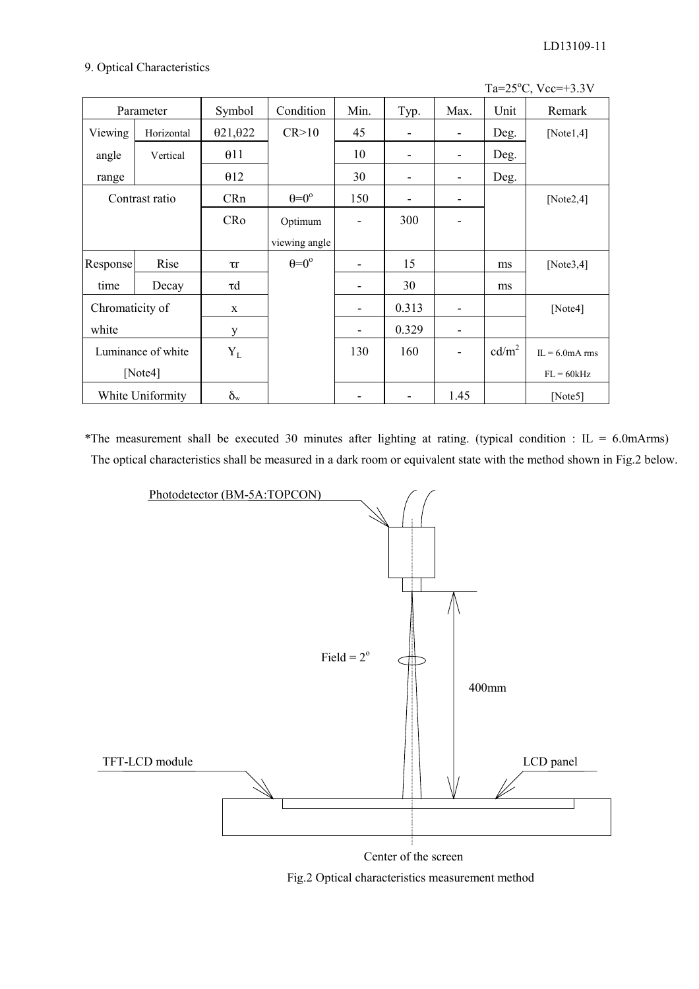#### 9. Optical Characteristics

|                 |                    |                  |                         |      |                              |      |                   | Ta= $25^{\circ}$ C, Vcc=+3.3V |
|-----------------|--------------------|------------------|-------------------------|------|------------------------------|------|-------------------|-------------------------------|
|                 | Parameter          | Symbol           | Condition               | Min. | Typ.                         | Max. | Unit              | Remark                        |
| Viewing         | Horizontal         | 021,022          | CR > 10                 | 45   | $\overline{\phantom{a}}$     | ۰    | Deg.              | [Note $1,4$ ]                 |
| angle           | Vertical           | 011              |                         | 10   | $\blacksquare$               | ۰    | Deg.              |                               |
| range           |                    | $\theta$ 12      |                         | 30   | $\overline{\phantom{a}}$     | ٠    | Deg.              |                               |
|                 | Contrast ratio     | CRn              | $\theta = 0^{\circ}$    | 150  | $\qquad \qquad \blacksquare$ | ۰    |                   | [Note $2,4$ ]                 |
|                 |                    | CRo              | Optimum                 |      | 300                          |      |                   |                               |
|                 |                    |                  | viewing angle           |      |                              |      |                   |                               |
| Response        | Rise               | $\tau$ r         | $heta = 0$ <sup>o</sup> | ٠    | 15                           |      | ms                | [Note $3,4$ ]                 |
| time            | Decay              | $\tau d$         |                         |      | 30                           |      | ms                |                               |
| Chromaticity of |                    | $\mathbf X$      |                         | ٠    | 0.313                        |      |                   | [Note4]                       |
| white           |                    | y                |                         | ۰    | 0.329                        |      |                   |                               |
|                 | Luminance of white | $Y_L$            |                         | 130  | 160                          |      | cd/m <sup>2</sup> | $\Pi = 6.0$ mA rms            |
|                 | [Note4]            |                  |                         |      |                              |      |                   | $FL = 60kHz$                  |
|                 | White Uniformity   | $\delta_{\rm w}$ |                         |      | $\overline{\phantom{a}}$     | 1.45 |                   | [Note5]                       |

\*The measurement shall be executed 30 minutes after lighting at rating. (typical condition :  $IL = 6.0$ mArms) The optical characteristics shall be measured in a dark room or equivalent state with the method shown in Fig.2 below.



Center of the screen

Fig.2 Optical characteristics measurement method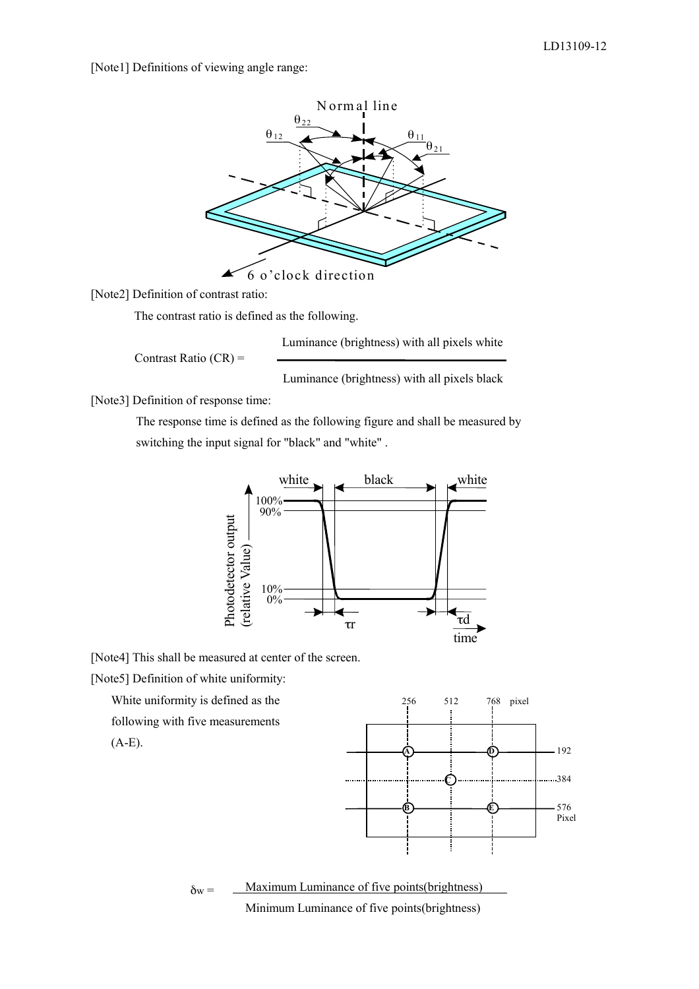[Note1] Definitions of viewing angle range:



[Note2] Definition of contrast ratio:

The contrast ratio is defined as the following.

Luminance (brightness) with all pixels white

Contrast Ratio (CR) =

Luminance (brightness) with all pixels black

[Note3] Definition of response time:

 The response time is defined as the following figure and shall be measured by switching the input signal for "black" and "white" .



[Note4] This shall be measured at center of the screen.

[Note5] Definition of white uniformity:

White uniformity is defined as the

following with five measurements

(A-E).



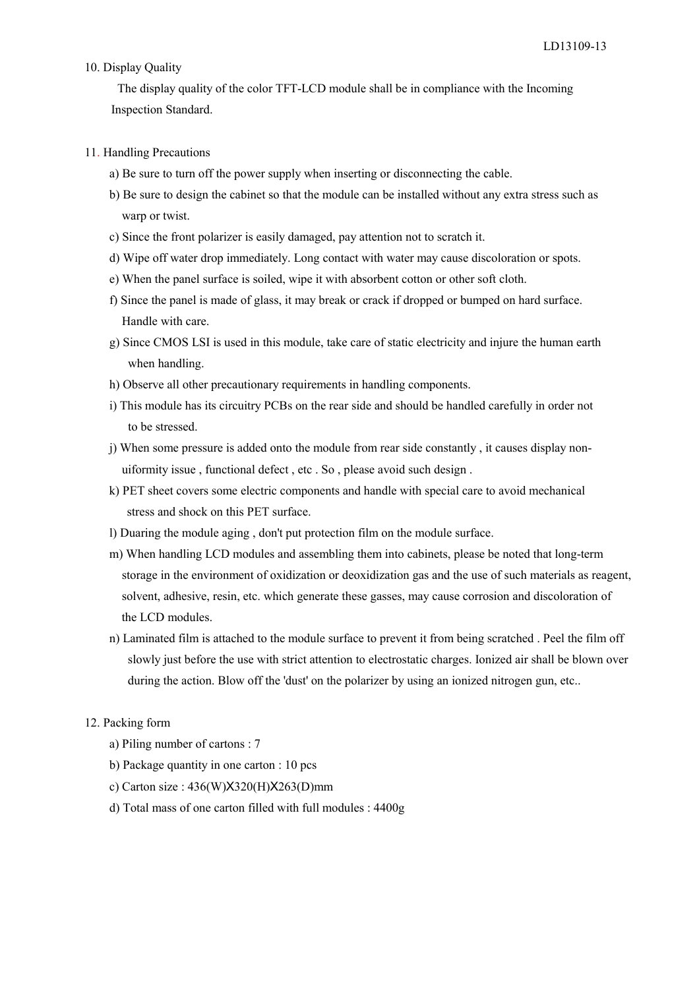#### 10. Display Quality

 The display quality of the color TFT-LCD module shall be in compliance with the Incoming Inspection Standard.

#### 11. Handling Precautions

- a) Be sure to turn off the power supply when inserting or disconnecting the cable.
- b) Be sure to design the cabinet so that the module can be installed without any extra stress such as warp or twist.
- c) Since the front polarizer is easily damaged, pay attention not to scratch it.
- d) Wipe off water drop immediately. Long contact with water may cause discoloration or spots.
- e) When the panel surface is soiled, wipe it with absorbent cotton or other soft cloth.
- f) Since the panel is made of glass, it may break or crack if dropped or bumped on hard surface. Handle with care.
- g) Since CMOS LSI is used in this module, take care of static electricity and injure the human earth when handling.
- h) Observe all other precautionary requirements in handling components.
- i) This module has its circuitry PCBs on the rear side and should be handled carefully in order not to be stressed.
- j) When some pressure is added onto the module from rear side constantly , it causes display non uiformity issue , functional defect , etc . So , please avoid such design .
- k) PET sheet covers some electric components and handle with special care to avoid mechanical stress and shock on this PET surface.
- l) Duaring the module aging , don't put protection film on the module surface.
- m) When handling LCD modules and assembling them into cabinets, please be noted that long-term storage in the environment of oxidization or deoxidization gas and the use of such materials as reagent, solvent, adhesive, resin, etc. which generate these gasses, may cause corrosion and discoloration of the LCD modules.
- n) Laminated film is attached to the module surface to prevent it from being scratched . Peel the film off slowly just before the use with strict attention to electrostatic charges. Ionized air shall be blown over during the action. Blow off the 'dust' on the polarizer by using an ionized nitrogen gun, etc..

#### 12. Packing form

- a) Piling number of cartons : 7
- b) Package quantity in one carton : 10 pcs
- c) Carton size : 436(W)X320(H)X263(D)mm
- d) Total mass of one carton filled with full modules : 4400g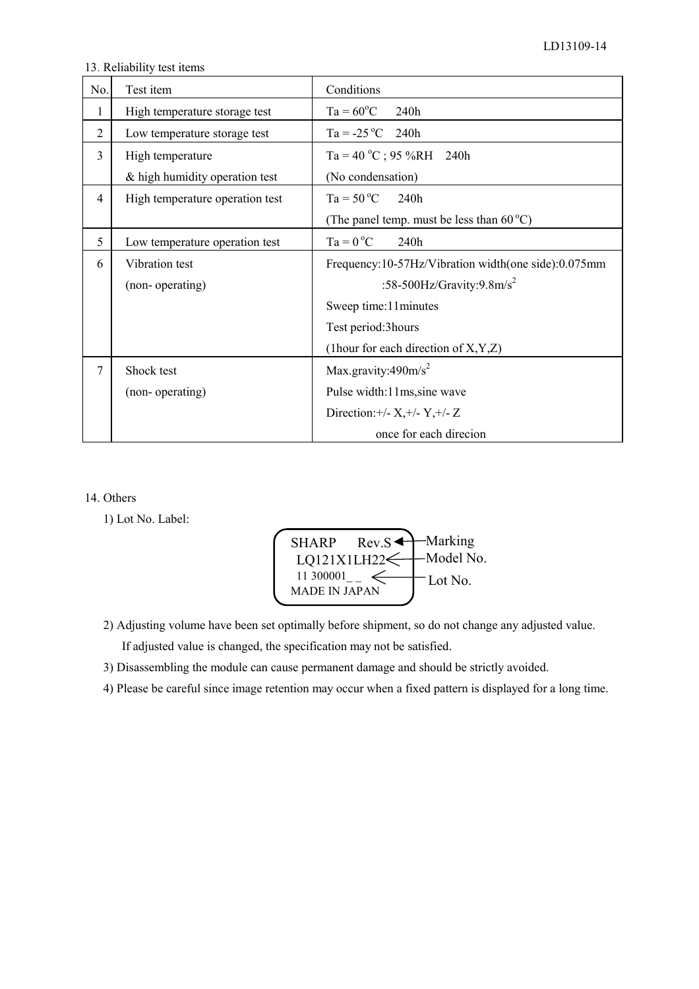13. Reliability test items

| No.            | Test item                       | Conditions                                          |
|----------------|---------------------------------|-----------------------------------------------------|
| 1              | High temperature storage test   | $Ta = 60^{\circ}C$<br>240h                          |
| $\overline{2}$ | Low temperature storage test    | $Ta = -25 °C$<br>240h                               |
| 3              | High temperature                | Ta = 40 °C; 95 %RH 240h                             |
|                | & high humidity operation test  | (No condensation)                                   |
| $\overline{4}$ | High temperature operation test | $Ta = 50 °C$<br>240h                                |
|                |                                 | (The panel temp. must be less than $60^{\circ}$ C)  |
| 5              | Low temperature operation test  | $Ta = 0 °C$<br>240h                                 |
| 6              | Vibration test                  | Frequency:10-57Hz/Vibration width(one side):0.075mm |
|                | (non-operating)                 | :58-500Hz/Gravity:9.8m/s <sup>2</sup>               |
|                |                                 | Sweep time: 11 minutes                              |
|                |                                 | Test period: 3 hours                                |
|                |                                 | (1 hour for each direction of $X, Y, Z$ )           |
| 7              | Shock test                      | Max.gravity:490m/s <sup>2</sup>                     |
|                | (non-operating)                 | Pulse width:11ms, sine wave                         |
|                |                                 | Direction: +/- $X,$ +/- $Y,$ +/- $Z$                |
|                |                                 | once for each direcion                              |

#### 14. Others

1) Lot No. Label:



2) Adjusting volume have been set optimally before shipment, so do not change any adjusted value.

If adjusted value is changed, the specification may not be satisfied.

3) Disassembling the module can cause permanent damage and should be strictly avoided.

4) Please be careful since image retention may occur when a fixed pattern is displayed for a long time.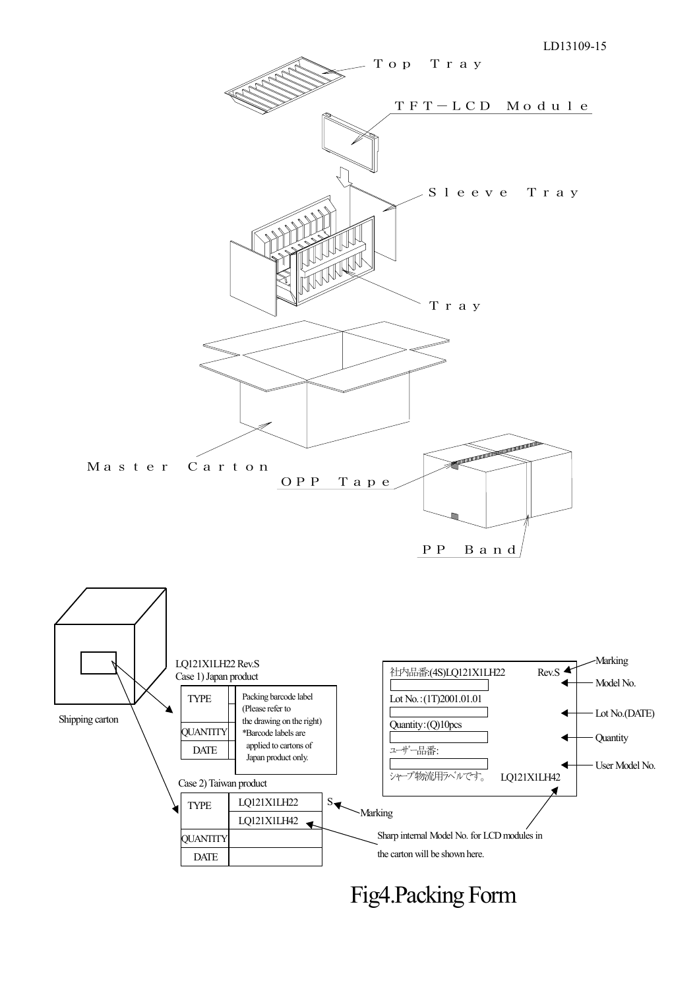

Fig4.Packing Form